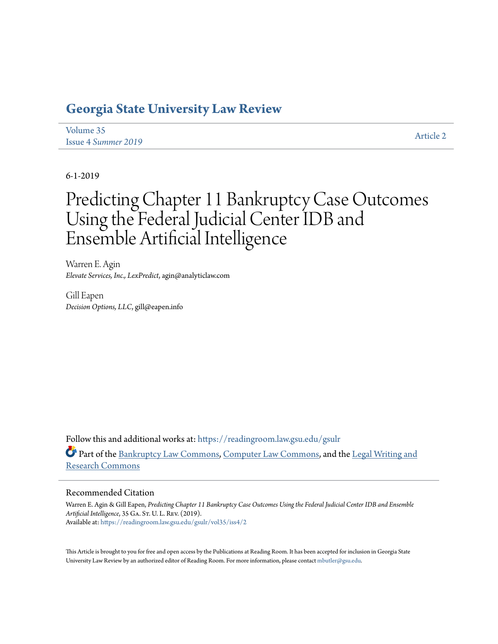## **[Georgia State University Law Review](https://readingroom.law.gsu.edu/gsulr?utm_source=readingroom.law.gsu.edu%2Fgsulr%2Fvol35%2Fiss4%2F2&utm_medium=PDF&utm_campaign=PDFCoverPages)**

| Volume 35           | <b>Article 2</b> |
|---------------------|------------------|
| Issue 4 Summer 2019 |                  |

6-1-2019

# Predicting Chapter 11 Bankruptcy Case Outcomes Using the Federal Judicial Center IDB and Ensemble Artificial Intelligence

Warren E. Agin *Elevate Services, Inc., LexPredict*, agin@analyticlaw.com

Gill Eapen *Decision Options, LLC*, gill@eapen.info

Follow this and additional works at: [https://readingroom.law.gsu.edu/gsulr](https://readingroom.law.gsu.edu/gsulr?utm_source=readingroom.law.gsu.edu%2Fgsulr%2Fvol35%2Fiss4%2F2&utm_medium=PDF&utm_campaign=PDFCoverPages) Part of the [Bankruptcy Law Commons,](http://network.bepress.com/hgg/discipline/583?utm_source=readingroom.law.gsu.edu%2Fgsulr%2Fvol35%2Fiss4%2F2&utm_medium=PDF&utm_campaign=PDFCoverPages) [Computer Law Commons](http://network.bepress.com/hgg/discipline/837?utm_source=readingroom.law.gsu.edu%2Fgsulr%2Fvol35%2Fiss4%2F2&utm_medium=PDF&utm_campaign=PDFCoverPages), and the [Legal Writing and](http://network.bepress.com/hgg/discipline/614?utm_source=readingroom.law.gsu.edu%2Fgsulr%2Fvol35%2Fiss4%2F2&utm_medium=PDF&utm_campaign=PDFCoverPages) [Research Commons](http://network.bepress.com/hgg/discipline/614?utm_source=readingroom.law.gsu.edu%2Fgsulr%2Fvol35%2Fiss4%2F2&utm_medium=PDF&utm_campaign=PDFCoverPages)

#### Recommended Citation

Warren E. Agin & Gill Eapen, *Predicting Chapter 11 Bankruptcy Case Outcomes Using the Federal Judicial Center IDB and Ensemble Artificial Intelligence*, 35 Ga. St. U. L. Rev. (2019). Available at: [https://readingroom.law.gsu.edu/gsulr/vol35/iss4/2](https://readingroom.law.gsu.edu/gsulr/vol35/iss4/2?utm_source=readingroom.law.gsu.edu%2Fgsulr%2Fvol35%2Fiss4%2F2&utm_medium=PDF&utm_campaign=PDFCoverPages)

This Article is brought to you for free and open access by the Publications at Reading Room. It has been accepted for inclusion in Georgia State University Law Review by an authorized editor of Reading Room. For more information, please contact [mbutler@gsu.edu.](mailto:mbutler@gsu.edu)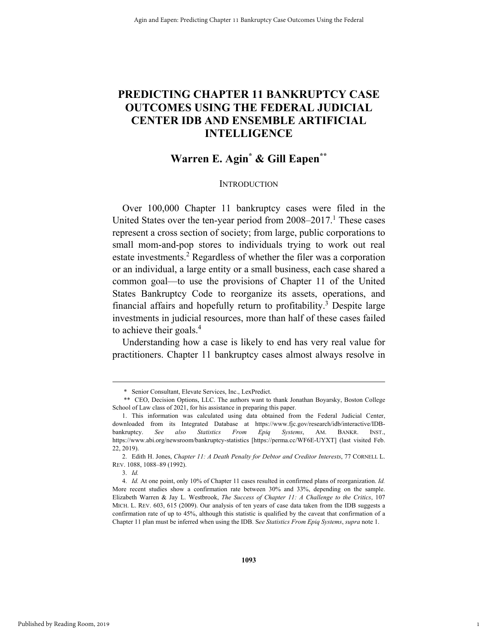## **PREDICTING CHAPTER 11 BANKRUPTCY CASE OUTCOMES USING THE FEDERAL JUDICIAL CENTER IDB AND ENSEMBLE ARTIFICIAL INTELLIGENCE**

## **Warren E. Agin\* & Gill Eapen\*\***

#### **INTRODUCTION**

Over 100,000 Chapter 11 bankruptcy cases were filed in the United States over the ten-year period from 2008–2017.<sup>1</sup> These cases represent a cross section of society; from large, public corporations to small mom-and-pop stores to individuals trying to work out real estate investments.<sup>2</sup> Regardless of whether the filer was a corporation or an individual, a large entity or a small business, each case shared a common goal—to use the provisions of Chapter 11 of the United States Bankruptcy Code to reorganize its assets, operations, and financial affairs and hopefully return to profitability.<sup>3</sup> Despite large investments in judicial resources, more than half of these cases failed to achieve their goals.<sup>4</sup>

Understanding how a case is likely to end has very real value for practitioners. Chapter 11 bankruptcy cases almost always resolve in

3. *Id.*

1

 <sup>\*</sup> Senior Consultant, Elevate Services, Inc., LexPredict.

 <sup>\*\*</sup> CEO, Decision Options, LLC. The authors want to thank Jonathan Boyarsky, Boston College School of Law class of 2021, for his assistance in preparing this paper.

 <sup>1.</sup> This information was calculated using data obtained from the Federal Judicial Center, downloaded from its Integrated Database at https://www.fjc.gov/research/idb/interactive/IDBbankruptcy. *See also Statistics From Epiq Systems*, AM. BANKR. INST., https://www.abi.org/newsroom/bankruptcy-statistics [https://perma.cc/WF6E-UYXT] (last visited Feb. 22, 2019).

 <sup>2.</sup> Edith H. Jones, *Chapter 11: A Death Penalty for Debtor and Creditor Interests*, 77 CORNELL L. REV. 1088, 1088–89 (1992).

 <sup>4.</sup> *Id.* At one point, only 10% of Chapter 11 cases resulted in confirmed plans of reorganization. *Id.* More recent studies show a confirmation rate between 30% and 33%, depending on the sample. Elizabeth Warren & Jay L. Westbrook, *The Success of Chapter 11: A Challenge to the Critics*, 107 MICH. L. REV. 603, 615 (2009). Our analysis of ten years of case data taken from the IDB suggests a confirmation rate of up to 45%, although this statistic is qualified by the caveat that confirmation of a Chapter 11 plan must be inferred when using the IDB. S*ee Statistics From Epiq Systems*, *supra* note 1.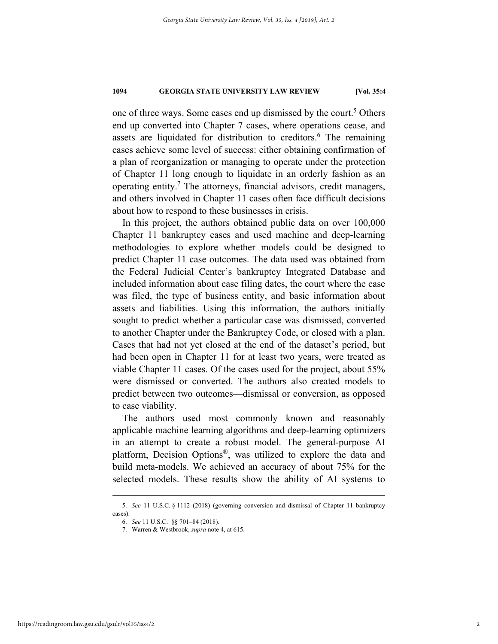one of three ways. Some cases end up dismissed by the court.<sup>5</sup> Others end up converted into Chapter 7 cases, where operations cease, and assets are liquidated for distribution to creditors.<sup>6</sup> The remaining cases achieve some level of success: either obtaining confirmation of a plan of reorganization or managing to operate under the protection of Chapter 11 long enough to liquidate in an orderly fashion as an operating entity.<sup>7</sup> The attorneys, financial advisors, credit managers, and others involved in Chapter 11 cases often face difficult decisions about how to respond to these businesses in crisis.

In this project, the authors obtained public data on over 100,000 Chapter 11 bankruptcy cases and used machine and deep-learning methodologies to explore whether models could be designed to predict Chapter 11 case outcomes. The data used was obtained from the Federal Judicial Center's bankruptcy Integrated Database and included information about case filing dates, the court where the case was filed, the type of business entity, and basic information about assets and liabilities. Using this information, the authors initially sought to predict whether a particular case was dismissed, converted to another Chapter under the Bankruptcy Code, or closed with a plan. Cases that had not yet closed at the end of the dataset's period, but had been open in Chapter 11 for at least two years, were treated as viable Chapter 11 cases. Of the cases used for the project, about 55% were dismissed or converted. The authors also created models to predict between two outcomes—dismissal or conversion, as opposed to case viability.

The authors used most commonly known and reasonably applicable machine learning algorithms and deep-learning optimizers in an attempt to create a robust model. The general-purpose AI platform, Decision Options®, was utilized to explore the data and build meta-models. We achieved an accuracy of about 75% for the selected models. These results show the ability of AI systems to

 <sup>5.</sup> *See* 11 U.S.C. § 1112 (2018) (governing conversion and dismissal of Chapter 11 bankruptcy cases).

 <sup>6.</sup> *See* 11 U.S.C. §§ 701–84 (2018).

 <sup>7.</sup> Warren & Westbrook, *supra* note 4, at 615.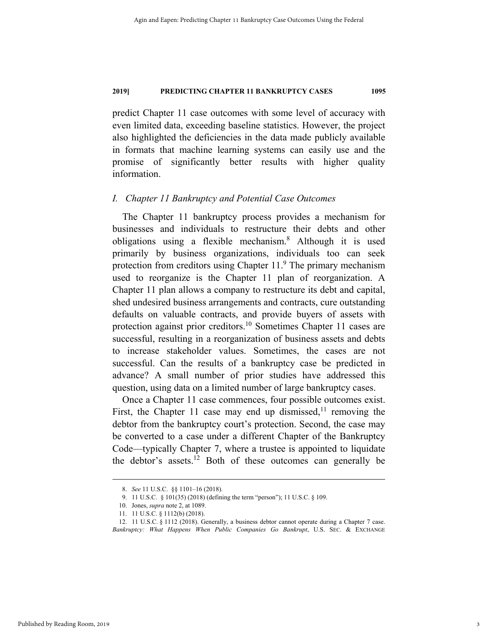predict Chapter 11 case outcomes with some level of accuracy with even limited data, exceeding baseline statistics. However, the project also highlighted the deficiencies in the data made publicly available in formats that machine learning systems can easily use and the promise of significantly better results with higher quality information.

#### *I. Chapter 11 Bankruptcy and Potential Case Outcomes*

The Chapter 11 bankruptcy process provides a mechanism for businesses and individuals to restructure their debts and other obligations using a flexible mechanism.8 Although it is used primarily by business organizations, individuals too can seek protection from creditors using Chapter  $11<sup>9</sup>$  The primary mechanism used to reorganize is the Chapter 11 plan of reorganization. A Chapter 11 plan allows a company to restructure its debt and capital, shed undesired business arrangements and contracts, cure outstanding defaults on valuable contracts, and provide buyers of assets with protection against prior creditors.<sup>10</sup> Sometimes Chapter 11 cases are successful, resulting in a reorganization of business assets and debts to increase stakeholder values. Sometimes, the cases are not successful. Can the results of a bankruptcy case be predicted in advance? A small number of prior studies have addressed this question, using data on a limited number of large bankruptcy cases.

Once a Chapter 11 case commences, four possible outcomes exist. First, the Chapter 11 case may end up dismissed,<sup>11</sup> removing the debtor from the bankruptcy court's protection. Second, the case may be converted to a case under a different Chapter of the Bankruptcy Code—typically Chapter 7, where a trustee is appointed to liquidate the debtor's assets.<sup>12</sup> Both of these outcomes can generally be

 <sup>8.</sup> *See* 11 U.S.C. §§ 1101–16 (2018).

 <sup>9. 11</sup> U.S.C. § 101(35) (2018) (defining the term "person"); 11 U.S.C. § 109.

 <sup>10.</sup> Jones, *supra* note 2, at 1089.

 <sup>11. 11</sup> U.S.C. § 1112(b) (2018).

 <sup>12. 11</sup> U.S.C. § 1112 (2018). Generally, a business debtor cannot operate during a Chapter 7 case. *Bankruptcy: What Happens When Public Companies Go Bankrupt*, U.S. SEC. & EXCHANGE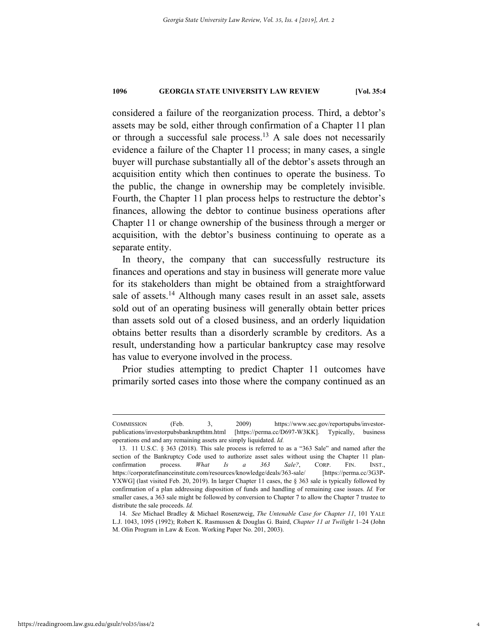considered a failure of the reorganization process. Third, a debtor's assets may be sold, either through confirmation of a Chapter 11 plan or through a successful sale process.<sup>13</sup> A sale does not necessarily evidence a failure of the Chapter 11 process; in many cases, a single buyer will purchase substantially all of the debtor's assets through an acquisition entity which then continues to operate the business. To the public, the change in ownership may be completely invisible. Fourth, the Chapter 11 plan process helps to restructure the debtor's finances, allowing the debtor to continue business operations after Chapter 11 or change ownership of the business through a merger or acquisition, with the debtor's business continuing to operate as a separate entity.

In theory, the company that can successfully restructure its finances and operations and stay in business will generate more value for its stakeholders than might be obtained from a straightforward sale of assets.<sup>14</sup> Although many cases result in an asset sale, assets sold out of an operating business will generally obtain better prices than assets sold out of a closed business, and an orderly liquidation obtains better results than a disorderly scramble by creditors. As a result, understanding how a particular bankruptcy case may resolve has value to everyone involved in the process.

Prior studies attempting to predict Chapter 11 outcomes have primarily sorted cases into those where the company continued as an

COMMISSION (Feb. 3, 2009) https://www.sec.gov/reportspubs/investorpublications/investorpubsbankrupthtm.html [https://perma.cc/D697-W3KK]. Typically, business operations end and any remaining assets are simply liquidated. *Id.*

 <sup>13. 11</sup> U.S.C. § 363 (2018). This sale process is referred to as a "363 Sale" and named after the section of the Bankruptcy Code used to authorize asset sales without using the Chapter 11 planconfirmation process. *What Is a 363 Sale?*, CORP. FIN. INST., https://corporatefinanceinstitute.com/resources/knowledge/deals/363-sale/ [https://perma.cc/3G3P-YXWG] (last visited Feb. 20, 2019). In larger Chapter 11 cases, the § 363 sale is typically followed by confirmation of a plan addressing disposition of funds and handling of remaining case issues. *Id.* For smaller cases, a 363 sale might be followed by conversion to Chapter 7 to allow the Chapter 7 trustee to distribute the sale proceeds. *Id.*

 <sup>14.</sup> *See* Michael Bradley & Michael Rosenzweig, *The Untenable Case for Chapter 11*, 101 YALE L.J. 1043, 1095 (1992); Robert K. Rasmussen & Douglas G. Baird, *Chapter 11 at Twilight* 1–24 (John M. Olin Program in Law & Econ. Working Paper No. 201, 2003).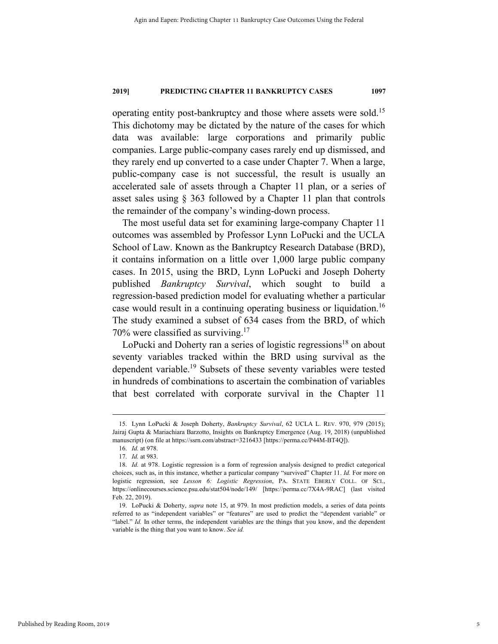operating entity post-bankruptcy and those where assets were sold.15 This dichotomy may be dictated by the nature of the cases for which data was available: large corporations and primarily public companies. Large public-company cases rarely end up dismissed, and they rarely end up converted to a case under Chapter 7. When a large, public-company case is not successful, the result is usually an accelerated sale of assets through a Chapter 11 plan, or a series of asset sales using § 363 followed by a Chapter 11 plan that controls the remainder of the company's winding-down process.

The most useful data set for examining large-company Chapter 11 outcomes was assembled by Professor Lynn LoPucki and the UCLA School of Law. Known as the Bankruptcy Research Database (BRD), it contains information on a little over 1,000 large public company cases. In 2015, using the BRD, Lynn LoPucki and Joseph Doherty published *Bankruptcy Survival*, which sought to build a regression-based prediction model for evaluating whether a particular case would result in a continuing operating business or liquidation.<sup>16</sup> The study examined a subset of 634 cases from the BRD, of which 70% were classified as surviving.<sup>17</sup>

LoPucki and Doherty ran a series of logistic regressions<sup>18</sup> on about seventy variables tracked within the BRD using survival as the dependent variable.<sup>19</sup> Subsets of these seventy variables were tested in hundreds of combinations to ascertain the combination of variables that best correlated with corporate survival in the Chapter 11

 <sup>15.</sup> Lynn LoPucki & Joseph Doherty, *Bankruptcy Survival*, 62 UCLA L. REV. 970, 979 (2015); Jairaj Gupta & Mariachiara Barzotto, Insights on Bankruptcy Emergence (Aug. 19, 2018) (unpublished manuscript) (on file at https://ssrn.com/abstract=3216433 [https://perma.cc/P44M-BT4Q]).

 <sup>16.</sup> *Id.* at 978.

 <sup>17.</sup> *Id.* at 983.

 <sup>18.</sup> *Id.* at 978. Logistic regression is a form of regression analysis designed to predict categorical choices, such as, in this instance, whether a particular company "survived" Chapter 11. *Id.* For more on logistic regression, see *Lesson 6: Logistic Regression*, PA. STATE EBERLY COLL. OF SCI., https://onlinecourses.science.psu.edu/stat504/node/149/ [https://perma.cc/7X4A-9RAC] (last visited Feb. 22, 2019).

 <sup>19.</sup> LoPucki & Doherty, *supra* note 15, at 979. In most prediction models, a series of data points referred to as "independent variables" or "features" are used to predict the "dependent variable" or "label." *Id.* In other terms, the independent variables are the things that you know, and the dependent variable is the thing that you want to know. *See id.*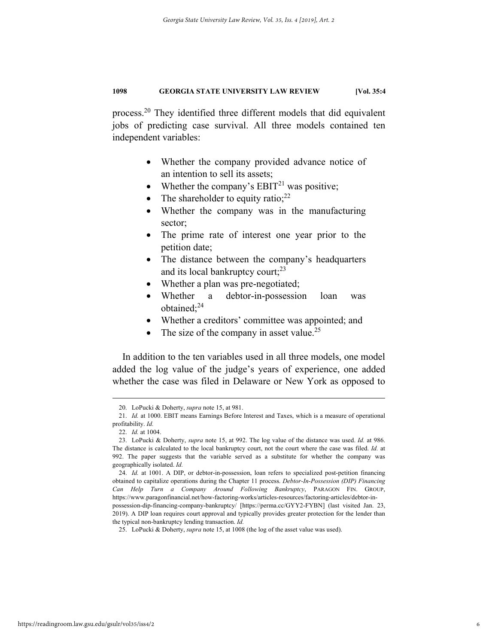process.20 They identified three different models that did equivalent jobs of predicting case survival. All three models contained ten independent variables:

- Whether the company provided advance notice of an intention to sell its assets;
- Whether the company's  $EBIT<sup>21</sup>$  was positive;
- The shareholder to equity ratio; $^{22}$
- Whether the company was in the manufacturing sector;
- The prime rate of interest one year prior to the petition date;
- The distance between the company's headquarters and its local bankruptcy court; $^{23}$
- Whether a plan was pre-negotiated;
- Whether a debtor-in-possession loan was obtained;<sup>24</sup>
- Whether a creditors' committee was appointed; and
- The size of the company in asset value.<sup>25</sup>

In addition to the ten variables used in all three models, one model added the log value of the judge's years of experience, one added whether the case was filed in Delaware or New York as opposed to

 <sup>20.</sup> LoPucki & Doherty, *supra* note 15, at 981.

 <sup>21.</sup> *Id.* at 1000. EBIT means Earnings Before Interest and Taxes, which is a measure of operational profitability. *Id.*

 <sup>22.</sup> *Id.* at 1004.

 <sup>23.</sup> LoPucki & Doherty, *supra* note 15, at 992. The log value of the distance was used. *Id.* at 986. The distance is calculated to the local bankruptcy court, not the court where the case was filed. *Id.* at 992. The paper suggests that the variable served as a substitute for whether the company was geographically isolated. *Id.*

 <sup>24.</sup> *Id.* at 1001. A DIP, or debtor-in-possession, loan refers to specialized post-petition financing obtained to capitalize operations during the Chapter 11 process. *Debtor-In-Possession (DIP) Financing Can Help Turn a Company Around Following Bankruptcy*, PARAGON FIN. GROUP, https://www.paragonfinancial.net/how-factoring-works/articles-resources/factoring-articles/debtor-inpossession-dip-financing-company-bankruptcy/ [https://perma.cc/GYY2-FYBN] (last visited Jan. 23,

<sup>2019).</sup> A DIP loan requires court approval and typically provides greater protection for the lender than the typical non-bankruptcy lending transaction. *Id.*

 <sup>25.</sup> LoPucki & Doherty, *supra* note 15, at 1008 (the log of the asset value was used).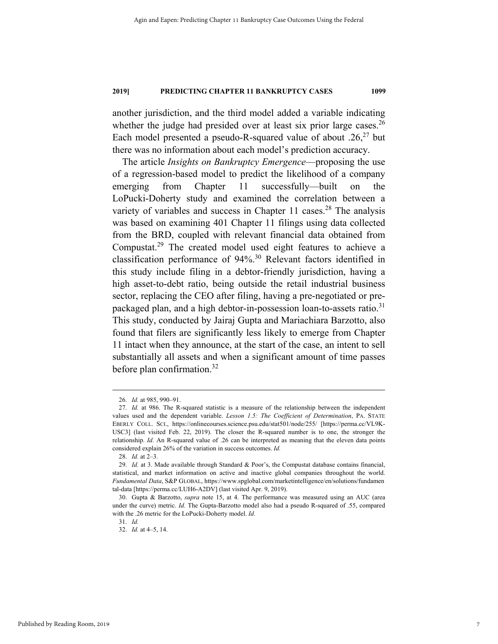another jurisdiction, and the third model added a variable indicating whether the judge had presided over at least six prior large cases.<sup>26</sup> Each model presented a pseudo-R-squared value of about  $.26$ <sup>27</sup> but there was no information about each model's prediction accuracy.

The article *Insights on Bankruptcy Emergence*—proposing the use of a regression-based model to predict the likelihood of a company emerging from Chapter 11 successfully—built on the LoPucki-Doherty study and examined the correlation between a variety of variables and success in Chapter 11 cases.<sup>28</sup> The analysis was based on examining 401 Chapter 11 filings using data collected from the BRD, coupled with relevant financial data obtained from Compustat.29 The created model used eight features to achieve a classification performance of 94%.30 Relevant factors identified in this study include filing in a debtor-friendly jurisdiction, having a high asset-to-debt ratio, being outside the retail industrial business sector, replacing the CEO after filing, having a pre-negotiated or prepackaged plan, and a high debtor-in-possession loan-to-assets ratio.<sup>31</sup> This study, conducted by Jairaj Gupta and Mariachiara Barzotto, also found that filers are significantly less likely to emerge from Chapter 11 intact when they announce, at the start of the case, an intent to sell substantially all assets and when a significant amount of time passes before plan confirmation.32

 <sup>26.</sup> *Id.* at 985, 990–91.

 <sup>27.</sup> *Id.* at 986. The R-squared statistic is a measure of the relationship between the independent values used and the dependent variable. *Lesson 1.5: The Coefficient of Determination*, PA. STATE EBERLY COLL. SCI., https://onlinecourses.science.psu.edu/stat501/node/255/ [https://perma.cc/VL9K-USC3] (last visited Feb. 22, 2019). The closer the R-squared number is to one, the stronger the relationship. *Id.* An R-squared value of .26 can be interpreted as meaning that the eleven data points considered explain 26% of the variation in success outcomes. *Id.*

 <sup>28.</sup> *Id.* at 2–3.

 <sup>29.</sup> *Id.* at 3. Made available through Standard & Poor's, the Compustat database contains financial, statistical, and market information on active and inactive global companies throughout the world. *Fundamental Data*, S&P GLOBAL, https://www.spglobal.com/marketintelligence/en/solutions/fundamen tal-data [https://perma.cc/LUH6-A2DV] (last visited Apr. 9, 2019).

 <sup>30.</sup> Gupta & Barzotto, *supra* note 15, at 4. The performance was measured using an AUC (area under the curve) metric. *Id.* The Gupta-Barzotto model also had a pseudo R-squared of .55, compared with the .26 metric for the LoPucki-Doherty model. *Id.*

 <sup>31.</sup> *Id.*

 <sup>32.</sup> *Id.* at 4–5, 14.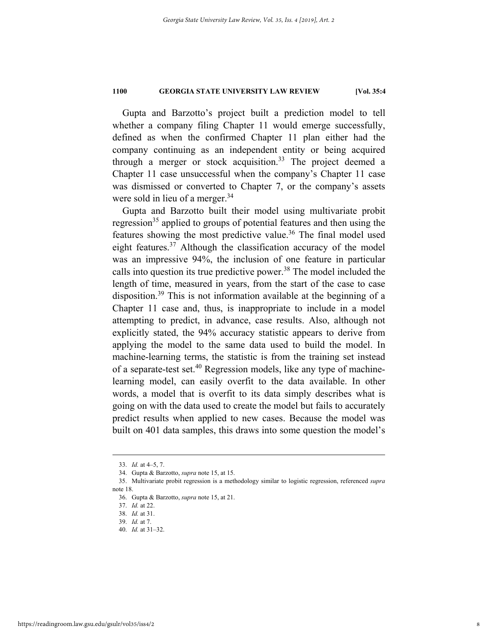Gupta and Barzotto's project built a prediction model to tell whether a company filing Chapter 11 would emerge successfully, defined as when the confirmed Chapter 11 plan either had the company continuing as an independent entity or being acquired through a merger or stock acquisition.<sup>33</sup> The project deemed a Chapter 11 case unsuccessful when the company's Chapter 11 case was dismissed or converted to Chapter 7, or the company's assets were sold in lieu of a merger.<sup>34</sup>

Gupta and Barzotto built their model using multivariate probit regression<sup>35</sup> applied to groups of potential features and then using the features showing the most predictive value.<sup>36</sup> The final model used eight features.<sup>37</sup> Although the classification accuracy of the model was an impressive 94%, the inclusion of one feature in particular calls into question its true predictive power.<sup>38</sup> The model included the length of time, measured in years, from the start of the case to case disposition.<sup>39</sup> This is not information available at the beginning of a Chapter 11 case and, thus, is inappropriate to include in a model attempting to predict, in advance, case results. Also, although not explicitly stated, the 94% accuracy statistic appears to derive from applying the model to the same data used to build the model. In machine-learning terms, the statistic is from the training set instead of a separate-test set.40 Regression models, like any type of machinelearning model, can easily overfit to the data available. In other words, a model that is overfit to its data simply describes what is going on with the data used to create the model but fails to accurately predict results when applied to new cases. Because the model was built on 401 data samples, this draws into some question the model's

 <sup>33.</sup> *Id.* at 4–5, 7.

 <sup>34.</sup> Gupta & Barzotto, *supra* note 15, at 15.

 <sup>35.</sup> Multivariate probit regression is a methodology similar to logistic regression, referenced *supra* note 18.

 <sup>36.</sup> Gupta & Barzotto, *supra* note 15, at 21.

 <sup>37.</sup> *Id.* at 22.

 <sup>38.</sup> *Id.* at 31.

 <sup>39.</sup> *Id.* at 7.

 <sup>40.</sup> *Id.* at 31–32.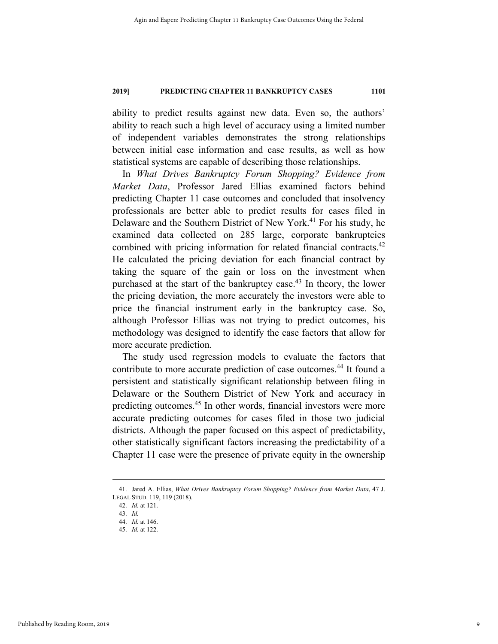ability to predict results against new data. Even so, the authors' ability to reach such a high level of accuracy using a limited number of independent variables demonstrates the strong relationships between initial case information and case results, as well as how statistical systems are capable of describing those relationships.

In *What Drives Bankruptcy Forum Shopping? Evidence from Market Data*, Professor Jared Ellias examined factors behind predicting Chapter 11 case outcomes and concluded that insolvency professionals are better able to predict results for cases filed in Delaware and the Southern District of New York.<sup>41</sup> For his study, he examined data collected on 285 large, corporate bankruptcies combined with pricing information for related financial contracts.<sup>42</sup> He calculated the pricing deviation for each financial contract by taking the square of the gain or loss on the investment when purchased at the start of the bankruptcy case.<sup>43</sup> In theory, the lower the pricing deviation, the more accurately the investors were able to price the financial instrument early in the bankruptcy case. So, although Professor Ellias was not trying to predict outcomes, his methodology was designed to identify the case factors that allow for more accurate prediction.

The study used regression models to evaluate the factors that contribute to more accurate prediction of case outcomes.<sup>44</sup> It found a persistent and statistically significant relationship between filing in Delaware or the Southern District of New York and accuracy in predicting outcomes.<sup>45</sup> In other words, financial investors were more accurate predicting outcomes for cases filed in those two judicial districts. Although the paper focused on this aspect of predictability, other statistically significant factors increasing the predictability of a Chapter 11 case were the presence of private equity in the ownership

 <sup>41.</sup> Jared A. Ellias, *What Drives Bankruptcy Forum Shopping? Evidence from Market Data*, <sup>47</sup> J. LEGAL STUD. 119, 119 (2018).

 <sup>42.</sup> *Id.* at 121.

 <sup>43.</sup> *Id.*

 <sup>44.</sup> *Id.* at 146.

 <sup>45.</sup> *Id.* at 122.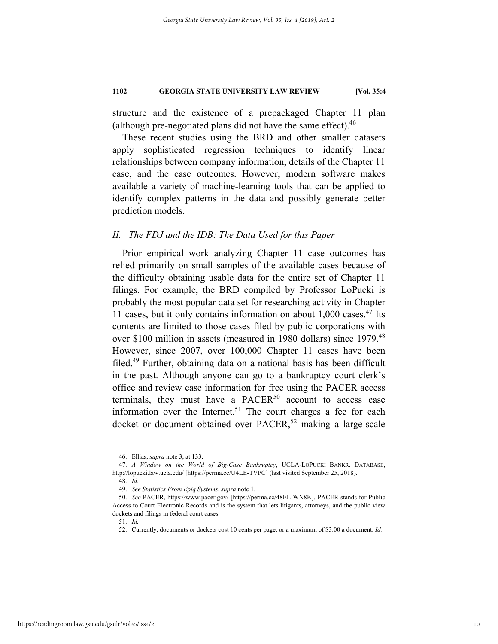structure and the existence of a prepackaged Chapter 11 plan (although pre-negotiated plans did not have the same effect). $46$ 

These recent studies using the BRD and other smaller datasets apply sophisticated regression techniques to identify linear relationships between company information, details of the Chapter 11 case, and the case outcomes. However, modern software makes available a variety of machine-learning tools that can be applied to identify complex patterns in the data and possibly generate better prediction models.

#### *II. The FDJ and the IDB: The Data Used for this Paper*

Prior empirical work analyzing Chapter 11 case outcomes has relied primarily on small samples of the available cases because of the difficulty obtaining usable data for the entire set of Chapter 11 filings. For example, the BRD compiled by Professor LoPucki is probably the most popular data set for researching activity in Chapter 11 cases, but it only contains information on about 1,000 cases. 47 Its contents are limited to those cases filed by public corporations with over \$100 million in assets (measured in 1980 dollars) since 1979.<sup>48</sup> However, since 2007, over 100,000 Chapter 11 cases have been filed.49 Further, obtaining data on a national basis has been difficult in the past. Although anyone can go to a bankruptcy court clerk's office and review case information for free using the PACER access terminals, they must have a  $PACER<sup>50</sup>$  account to access case information over the Internet.<sup>51</sup> The court charges a fee for each docket or document obtained over  $PACER$ <sup>52</sup> making a large-scale

 <sup>46.</sup> Ellias, *supra* note 3, at 133.

 <sup>47.</sup> *A Window on the World of Big-Case Bankruptcy*, UCLA-LOPUCKI BANKR. DATABASE, http://lopucki.law.ucla.edu/ [https://perma.cc/U4LE-TVPC] (last visited September 25, 2018).

 <sup>48.</sup> *Id.*

 <sup>49.</sup> *See Statistics From Epiq Systems*, *supra* note 1.

 <sup>50.</sup> *See* PACER, https://www.pacer.gov/ [https://perma.cc/48EL-WN8K]. PACER stands for Public Access to Court Electronic Records and is the system that lets litigants, attorneys, and the public view dockets and filings in federal court cases.

 <sup>51.</sup> *Id.*

 <sup>52.</sup> Currently, documents or dockets cost 10 cents per page, or a maximum of \$3.00 a document. *Id.*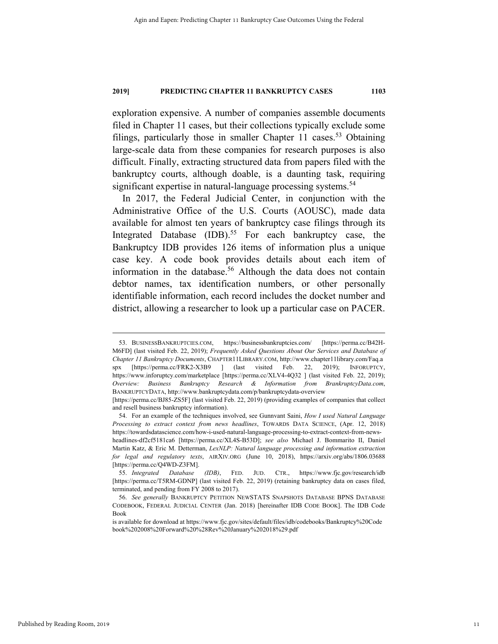exploration expensive. A number of companies assemble documents filed in Chapter 11 cases, but their collections typically exclude some filings, particularly those in smaller Chapter 11 cases.<sup>53</sup> Obtaining large-scale data from these companies for research purposes is also difficult. Finally, extracting structured data from papers filed with the bankruptcy courts, although doable, is a daunting task, requiring significant expertise in natural-language processing systems.<sup>54</sup>

In 2017, the Federal Judicial Center, in conjunction with the Administrative Office of the U.S. Courts (AOUSC), made data available for almost ten years of bankruptcy case filings through its Integrated Database  $(IDB).<sup>55</sup>$  For each bankruptcy case, the Bankruptcy IDB provides 126 items of information plus a unique case key. A code book provides details about each item of information in the database.<sup>56</sup> Although the data does not contain debtor names, tax identification numbers, or other personally identifiable information, each record includes the docket number and district, allowing a researcher to look up a particular case on PACER.

 <sup>53.</sup> BUSINESSBANKRUPTCIES.COM, https://businessbankruptcies.com/ [https://perma.cc/B42H-M6FD] (last visited Feb. 22, 2019); *Frequently Asked Questions About Our Services and Database of Chapter 11 Bankruptcy Documents*, CHAPTER11LIBRARY.COM, http://www.chapter11library.com/Faq.a spx [https://perma.cc/FRK2-X3B9 ] (last visited Feb. 22, 2019); INFORUPTCY, https://www.inforuptcy.com/marketplace [https://perma.cc/XLV4-4Q32 ] (last visited Feb. 22, 2019); *Overview: Business Bankruptcy Research & Information from BrankruptcyData.com*, BANKRUPTCYDATA, http://www.bankruptcydata.com/p/bankruptcydata-overview

<sup>[</sup>https://perma.cc/BJ85-ZS5F] (last visited Feb. 22, 2019) (providing examples of companies that collect and resell business bankruptcy information).

 <sup>54.</sup> For an example of the techniques involved, see Gunnvant Saini, *How I used Natural Language Processing to extract context from news headlines*, TOWARDS DATA SCIENCE, (Apr. 12, 2018) https://towardsdatascience.com/how-i-used-natural-language-processing-to-extract-context-from-news-

headlines-df2cf5181ca6 [https://perma.cc/XL4S-B53D]; *see also* Michael J. Bommarito II, Daniel Martin Katz, & Eric M. Detterman, *LexNLP: Natural language processing and information extraction for legal and regulatory texts*, AIRXIV.ORG (June 10, 2018), https://arxiv.org/abs/1806.03688 [https://perma.cc/Q4WD-Z3FM].

 <sup>55.</sup> *Integrated Database (IDB)*, FED. JUD. CTR., https://www.fjc.gov/research/idb [https://perma.cc/T5RM-GDNP] (last visited Feb. 22, 2019) (retaining bankruptcy data on cases filed, terminated, and pending from FY 2008 to 2017).

 <sup>56.</sup> *See generally* BANKRUPTCY PETITION NEWSTATS SNAPSHOTS DATABASE BPNS DATABASE CODEBOOK, FEDERAL JUDICIAL CENTER (Jan. 2018) [hereinafter IDB CODE BOOK]. The IDB Code Book

is available for download at https://www.fjc.gov/sites/default/files/idb/codebooks/Bankruptcy%20Code book%202008%20Forward%20%28Rev%20January%202018%29.pdf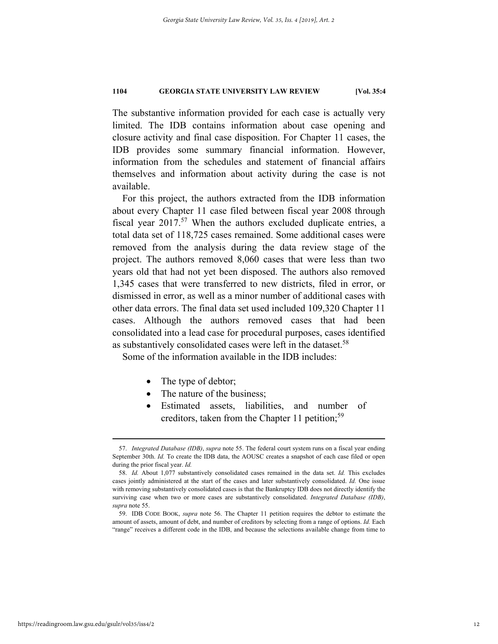The substantive information provided for each case is actually very limited. The IDB contains information about case opening and closure activity and final case disposition. For Chapter 11 cases, the IDB provides some summary financial information. However, information from the schedules and statement of financial affairs themselves and information about activity during the case is not available.

For this project, the authors extracted from the IDB information about every Chapter 11 case filed between fiscal year 2008 through fiscal year  $2017$ <sup>57</sup> When the authors excluded duplicate entries, a total data set of 118,725 cases remained. Some additional cases were removed from the analysis during the data review stage of the project. The authors removed 8,060 cases that were less than two years old that had not yet been disposed. The authors also removed 1,345 cases that were transferred to new districts, filed in error, or dismissed in error, as well as a minor number of additional cases with other data errors. The final data set used included 109,320 Chapter 11 cases. Although the authors removed cases that had been consolidated into a lead case for procedural purposes, cases identified as substantively consolidated cases were left in the dataset.<sup>58</sup>

Some of the information available in the IDB includes:

- The type of debtor;
- The nature of the business;
- Estimated assets, liabilities, and number of creditors, taken from the Chapter 11 petition;<sup>59</sup>

 <sup>57.</sup> *Integrated Database (IDB)*, *supra* note 55. The federal court system runs on a fiscal year ending September 30th. *Id.* To create the IDB data, the AOUSC creates a snapshot of each case filed or open during the prior fiscal year. *Id.*

 <sup>58.</sup> *Id.* About 1,077 substantively consolidated cases remained in the data set. *Id.* This excludes cases jointly administered at the start of the cases and later substantively consolidated. *Id.* One issue with removing substantively consolidated cases is that the Bankruptcy IDB does not directly identify the surviving case when two or more cases are substantively consolidated. *Integrated Database (IDB)*, *supra* note 55.

 <sup>59.</sup> IDB CODE BOOK, *supra* note 56. The Chapter 11 petition requires the debtor to estimate the amount of assets, amount of debt, and number of creditors by selecting from a range of options. *Id.* Each "range" receives a different code in the IDB, and because the selections available change from time to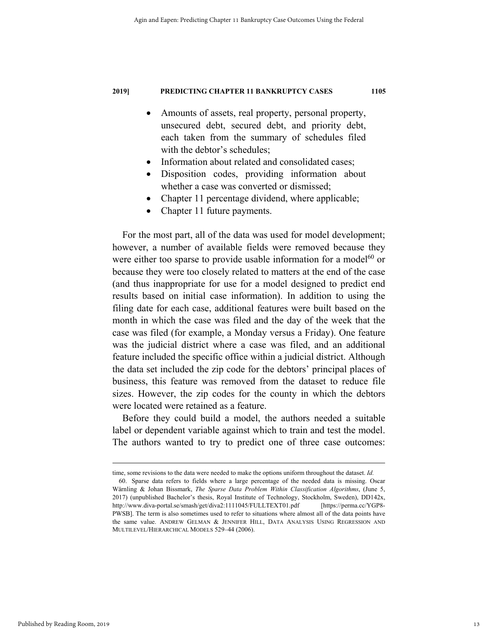- Amounts of assets, real property, personal property, unsecured debt, secured debt, and priority debt, each taken from the summary of schedules filed with the debtor's schedules;
- Information about related and consolidated cases;
- Disposition codes, providing information about whether a case was converted or dismissed;
- Chapter 11 percentage dividend, where applicable;
- Chapter 11 future payments.

For the most part, all of the data was used for model development; however, a number of available fields were removed because they were either too sparse to provide usable information for a model<sup>60</sup> or because they were too closely related to matters at the end of the case (and thus inappropriate for use for a model designed to predict end results based on initial case information). In addition to using the filing date for each case, additional features were built based on the month in which the case was filed and the day of the week that the case was filed (for example, a Monday versus a Friday). One feature was the judicial district where a case was filed, and an additional feature included the specific office within a judicial district. Although the data set included the zip code for the debtors' principal places of business, this feature was removed from the dataset to reduce file sizes. However, the zip codes for the county in which the debtors were located were retained as a feature.

Before they could build a model, the authors needed a suitable label or dependent variable against which to train and test the model. The authors wanted to try to predict one of three case outcomes:

time, some revisions to the data were needed to make the options uniform throughout the dataset. *Id.* 60. Sparse data refers to fields where a large percentage of the needed data is missing. Oscar Wärnling & Johan Bissmark, *The Sparse Data Problem Within Classification Algorithms*, (June 5, 2017) (unpublished Bachelor's thesis, Royal Institute of Technology, Stockholm, Sweden), DD142x, http://www.diva-portal.se/smash/get/diva2:1111045/FULLTEXT01.pdf [https://perma.cc/YGP8- PWSB]. The term is also sometimes used to refer to situations where almost all of the data points have the same value. ANDREW GELMAN & JENNIFER HILL, DATA ANALYSIS USING REGRESSION AND MULTILEVEL/HIERARCHICAL MODELS 529–44 (2006).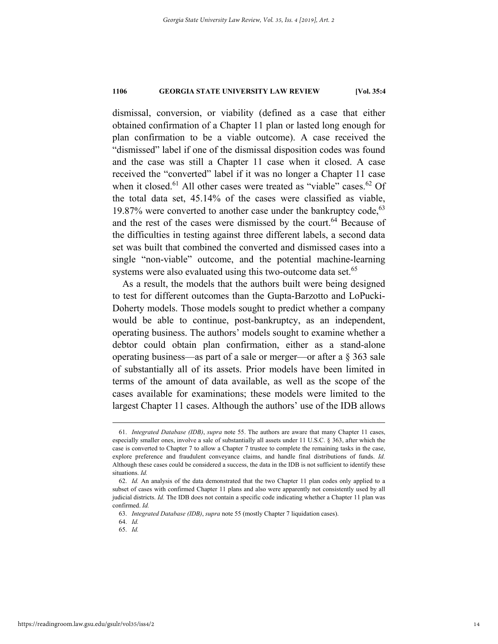dismissal, conversion, or viability (defined as a case that either obtained confirmation of a Chapter 11 plan or lasted long enough for plan confirmation to be a viable outcome). A case received the "dismissed" label if one of the dismissal disposition codes was found and the case was still a Chapter 11 case when it closed. A case received the "converted" label if it was no longer a Chapter 11 case when it closed.<sup>61</sup> All other cases were treated as "viable" cases.<sup>62</sup> Of the total data set, 45.14% of the cases were classified as viable, 19.87% were converted to another case under the bankruptcy code,  $63$ and the rest of the cases were dismissed by the court.<sup>64</sup> Because of the difficulties in testing against three different labels, a second data set was built that combined the converted and dismissed cases into a single "non-viable" outcome, and the potential machine-learning systems were also evaluated using this two-outcome data set.<sup>65</sup>

As a result, the models that the authors built were being designed to test for different outcomes than the Gupta-Barzotto and LoPucki-Doherty models. Those models sought to predict whether a company would be able to continue, post-bankruptcy, as an independent, operating business. The authors' models sought to examine whether a debtor could obtain plan confirmation, either as a stand-alone operating business—as part of a sale or merger—or after a § 363 sale of substantially all of its assets. Prior models have been limited in terms of the amount of data available, as well as the scope of the cases available for examinations; these models were limited to the largest Chapter 11 cases. Although the authors' use of the IDB allows

 <sup>61.</sup> *Integrated Database (IDB)*, *supra* note 55. The authors are aware that many Chapter 11 cases, especially smaller ones, involve a sale of substantially all assets under 11 U.S.C. § 363, after which the case is converted to Chapter 7 to allow a Chapter 7 trustee to complete the remaining tasks in the case, explore preference and fraudulent conveyance claims, and handle final distributions of funds. *Id.* Although these cases could be considered a success, the data in the IDB is not sufficient to identify these situations. *Id.*

 <sup>62.</sup> *Id.* An analysis of the data demonstrated that the two Chapter 11 plan codes only applied to a subset of cases with confirmed Chapter 11 plans and also were apparently not consistently used by all judicial districts. *Id.* The IDB does not contain a specific code indicating whether a Chapter 11 plan was confirmed. *Id.*

 <sup>63.</sup> *Integrated Database (IDB)*, *supra* note 55 (mostly Chapter 7 liquidation cases).

 <sup>64.</sup> *Id.*

 <sup>65.</sup> *Id.*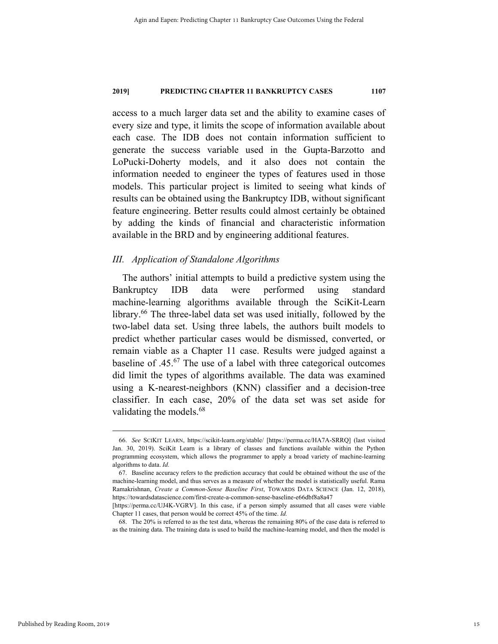access to a much larger data set and the ability to examine cases of every size and type, it limits the scope of information available about each case. The IDB does not contain information sufficient to generate the success variable used in the Gupta-Barzotto and LoPucki-Doherty models, and it also does not contain the information needed to engineer the types of features used in those models. This particular project is limited to seeing what kinds of results can be obtained using the Bankruptcy IDB, without significant feature engineering. Better results could almost certainly be obtained by adding the kinds of financial and characteristic information available in the BRD and by engineering additional features.

#### *III. Application of Standalone Algorithms*

The authors' initial attempts to build a predictive system using the Bankruptcy IDB data were performed using standard machine-learning algorithms available through the SciKit-Learn library.<sup>66</sup> The three-label data set was used initially, followed by the two-label data set. Using three labels, the authors built models to predict whether particular cases would be dismissed, converted, or remain viable as a Chapter 11 case. Results were judged against a baseline of .45.67 The use of a label with three categorical outcomes did limit the types of algorithms available. The data was examined using a K-nearest-neighbors (KNN) classifier and a decision-tree classifier. In each case, 20% of the data set was set aside for validating the models.<sup>68</sup>

 68. The 20% is referred to as the test data, whereas the remaining 80% of the case data is referred to as the training data. The training data is used to build the machine-learning model, and then the model is

 <sup>66.</sup> *See* SCIKIT LEARN, https://scikit-learn.org/stable/ [https://perma.cc/HA7A-SRRQ] (last visited Jan. 30, 2019). SciKit Learn is a library of classes and functions available within the Python programming ecosystem, which allows the programmer to apply a broad variety of machine-learning algorithms to data. *Id.*

 <sup>67.</sup> Baseline accuracy refers to the prediction accuracy that could be obtained without the use of the machine-learning model, and thus serves as a measure of whether the model is statistically useful. Rama Ramakrishnan, *Create a Common-Sense Baseline First*, TOWARDS DATA SCIENCE (Jan. 12, 2018), https://towardsdatascience.com/first-create-a-common-sense-baseline-e66dbf8a8a47

<sup>[</sup>https://perma.cc/UJ4K-VGRV]. In this case, if a person simply assumed that all cases were viable Chapter 11 cases, that person would be correct 45% of the time. *Id.*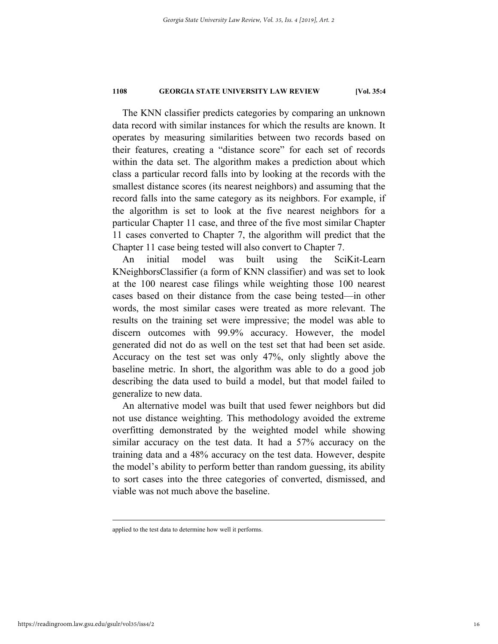The KNN classifier predicts categories by comparing an unknown data record with similar instances for which the results are known. It operates by measuring similarities between two records based on their features, creating a "distance score" for each set of records within the data set. The algorithm makes a prediction about which class a particular record falls into by looking at the records with the smallest distance scores (its nearest neighbors) and assuming that the record falls into the same category as its neighbors. For example, if the algorithm is set to look at the five nearest neighbors for a particular Chapter 11 case, and three of the five most similar Chapter 11 cases converted to Chapter 7, the algorithm will predict that the Chapter 11 case being tested will also convert to Chapter 7.

An initial model was built using the SciKit-Learn KNeighborsClassifier (a form of KNN classifier) and was set to look at the 100 nearest case filings while weighting those 100 nearest cases based on their distance from the case being tested—in other words, the most similar cases were treated as more relevant. The results on the training set were impressive; the model was able to discern outcomes with 99.9% accuracy. However, the model generated did not do as well on the test set that had been set aside. Accuracy on the test set was only 47%, only slightly above the baseline metric. In short, the algorithm was able to do a good job describing the data used to build a model, but that model failed to generalize to new data.

An alternative model was built that used fewer neighbors but did not use distance weighting. This methodology avoided the extreme overfitting demonstrated by the weighted model while showing similar accuracy on the test data. It had a 57% accuracy on the training data and a 48% accuracy on the test data. However, despite the model's ability to perform better than random guessing, its ability to sort cases into the three categories of converted, dismissed, and viable was not much above the baseline.

applied to the test data to determine how well it performs.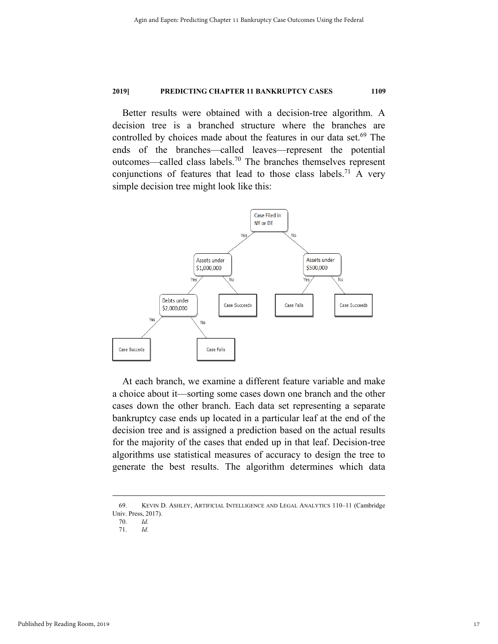Better results were obtained with a decision-tree algorithm. A decision tree is a branched structure where the branches are controlled by choices made about the features in our data set.<sup>69</sup> The ends of the branches—called leaves—represent the potential outcomes—called class labels.70 The branches themselves represent conjunctions of features that lead to those class labels.<sup>71</sup> A very simple decision tree might look like this:



At each branch, we examine a different feature variable and make a choice about it—sorting some cases down one branch and the other cases down the other branch. Each data set representing a separate bankruptcy case ends up located in a particular leaf at the end of the decision tree and is assigned a prediction based on the actual results for the majority of the cases that ended up in that leaf. Decision-tree algorithms use statistical measures of accuracy to design the tree to generate the best results. The algorithm determines which data

 <sup>69.</sup> KEVIN D. ASHLEY, ARTIFICIAL INTELLIGENCE AND LEGAL ANALYTICS 110–11 (Cambridge Univ. Press, 2017).

 <sup>70.</sup> *Id.*

 <sup>71.</sup> *Id.*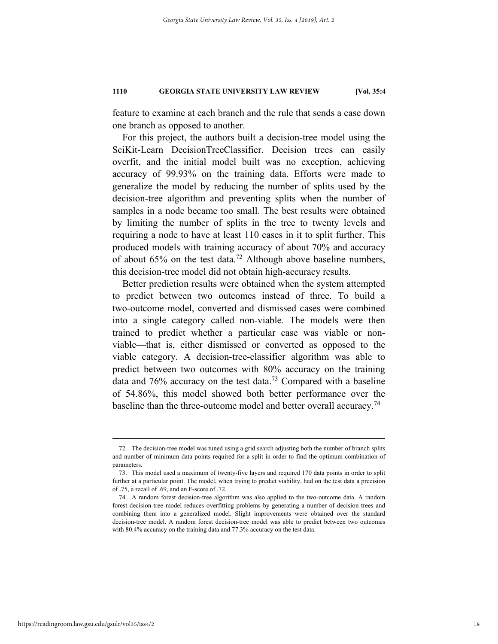feature to examine at each branch and the rule that sends a case down one branch as opposed to another.

For this project, the authors built a decision-tree model using the SciKit-Learn DecisionTreeClassifier. Decision trees can easily overfit, and the initial model built was no exception, achieving accuracy of 99.93% on the training data. Efforts were made to generalize the model by reducing the number of splits used by the decision-tree algorithm and preventing splits when the number of samples in a node became too small. The best results were obtained by limiting the number of splits in the tree to twenty levels and requiring a node to have at least 110 cases in it to split further. This produced models with training accuracy of about 70% and accuracy of about 65% on the test data.<sup>72</sup> Although above baseline numbers, this decision-tree model did not obtain high-accuracy results.

Better prediction results were obtained when the system attempted to predict between two outcomes instead of three. To build a two-outcome model, converted and dismissed cases were combined into a single category called non-viable. The models were then trained to predict whether a particular case was viable or nonviable—that is, either dismissed or converted as opposed to the viable category. A decision-tree-classifier algorithm was able to predict between two outcomes with 80% accuracy on the training data and  $76\%$  accuracy on the test data.<sup>73</sup> Compared with a baseline of 54.86%, this model showed both better performance over the baseline than the three-outcome model and better overall accuracy.<sup>74</sup>

 <sup>72.</sup> The decision-tree model was tuned using a grid search adjusting both the number of branch splits and number of minimum data points required for a split in order to find the optimum combination of parameters.

 <sup>73.</sup> This model used a maximum of twenty-five layers and required 170 data points in order to split further at a particular point. The model, when trying to predict viability, had on the test data a precision of .75, a recall of .69, and an F-score of .72.

 <sup>74.</sup> A random forest decision-tree algorithm was also applied to the two-outcome data. A random forest decision-tree model reduces overfitting problems by generating a number of decision trees and combining them into a generalized model. Slight improvements were obtained over the standard decision-tree model. A random forest decision-tree model was able to predict between two outcomes with 80.4% accuracy on the training data and 77.3% accuracy on the test data.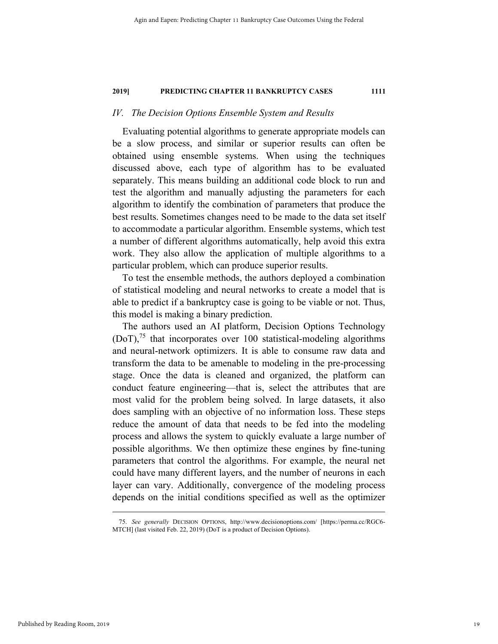#### *IV. The Decision Options Ensemble System and Results*

Evaluating potential algorithms to generate appropriate models can be a slow process, and similar or superior results can often be obtained using ensemble systems. When using the techniques discussed above, each type of algorithm has to be evaluated separately. This means building an additional code block to run and test the algorithm and manually adjusting the parameters for each algorithm to identify the combination of parameters that produce the best results. Sometimes changes need to be made to the data set itself to accommodate a particular algorithm. Ensemble systems, which test a number of different algorithms automatically, help avoid this extra work. They also allow the application of multiple algorithms to a particular problem, which can produce superior results.

To test the ensemble methods, the authors deployed a combination of statistical modeling and neural networks to create a model that is able to predict if a bankruptcy case is going to be viable or not. Thus, this model is making a binary prediction.

The authors used an AI platform, Decision Options Technology  $(DoT)$ ,<sup>75</sup> that incorporates over 100 statistical-modeling algorithms and neural-network optimizers. It is able to consume raw data and transform the data to be amenable to modeling in the pre-processing stage. Once the data is cleaned and organized, the platform can conduct feature engineering—that is, select the attributes that are most valid for the problem being solved. In large datasets, it also does sampling with an objective of no information loss. These steps reduce the amount of data that needs to be fed into the modeling process and allows the system to quickly evaluate a large number of possible algorithms. We then optimize these engines by fine-tuning parameters that control the algorithms. For example, the neural net could have many different layers, and the number of neurons in each layer can vary. Additionally, convergence of the modeling process depends on the initial conditions specified as well as the optimizer

 <sup>75.</sup> *See generally* DECISION OPTIONS, http://www.decisionoptions.com/ [https://perma.cc/RGC6- MTCH] (last visited Feb. 22, 2019) (DoT is a product of Decision Options).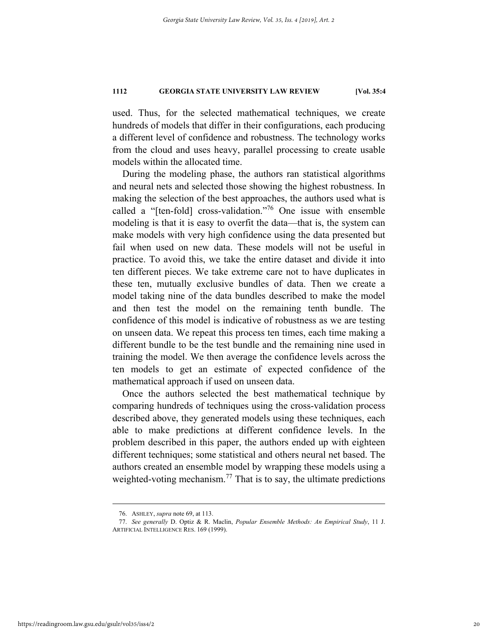used. Thus, for the selected mathematical techniques, we create hundreds of models that differ in their configurations, each producing a different level of confidence and robustness. The technology works from the cloud and uses heavy, parallel processing to create usable models within the allocated time.

During the modeling phase, the authors ran statistical algorithms and neural nets and selected those showing the highest robustness. In making the selection of the best approaches, the authors used what is called a "[ten-fold] cross-validation."76 One issue with ensemble modeling is that it is easy to overfit the data—that is, the system can make models with very high confidence using the data presented but fail when used on new data. These models will not be useful in practice. To avoid this, we take the entire dataset and divide it into ten different pieces. We take extreme care not to have duplicates in these ten, mutually exclusive bundles of data. Then we create a model taking nine of the data bundles described to make the model and then test the model on the remaining tenth bundle. The confidence of this model is indicative of robustness as we are testing on unseen data. We repeat this process ten times, each time making a different bundle to be the test bundle and the remaining nine used in training the model. We then average the confidence levels across the ten models to get an estimate of expected confidence of the mathematical approach if used on unseen data.

Once the authors selected the best mathematical technique by comparing hundreds of techniques using the cross-validation process described above, they generated models using these techniques, each able to make predictions at different confidence levels. In the problem described in this paper, the authors ended up with eighteen different techniques; some statistical and others neural net based. The authors created an ensemble model by wrapping these models using a weighted-voting mechanism.<sup>77</sup> That is to say, the ultimate predictions

 <sup>76.</sup> ASHLEY, *supra* note 69, at 113.

 <sup>77.</sup> *See generally* D. Optiz & R. Maclin, *Popular Ensemble Methods: An Empirical Study*, 11 J. ARTIFICIAL INTELLIGENCE RES. 169 (1999).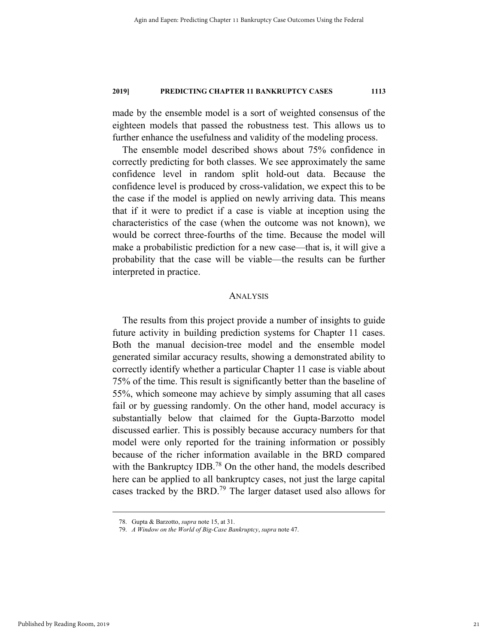made by the ensemble model is a sort of weighted consensus of the eighteen models that passed the robustness test. This allows us to further enhance the usefulness and validity of the modeling process.

The ensemble model described shows about 75% confidence in correctly predicting for both classes. We see approximately the same confidence level in random split hold-out data. Because the confidence level is produced by cross-validation, we expect this to be the case if the model is applied on newly arriving data. This means that if it were to predict if a case is viable at inception using the characteristics of the case (when the outcome was not known), we would be correct three-fourths of the time. Because the model will make a probabilistic prediction for a new case—that is, it will give a probability that the case will be viable—the results can be further interpreted in practice.

#### ANALYSIS

The results from this project provide a number of insights to guide future activity in building prediction systems for Chapter 11 cases. Both the manual decision-tree model and the ensemble model generated similar accuracy results, showing a demonstrated ability to correctly identify whether a particular Chapter 11 case is viable about 75% of the time. This result is significantly better than the baseline of 55%, which someone may achieve by simply assuming that all cases fail or by guessing randomly. On the other hand, model accuracy is substantially below that claimed for the Gupta-Barzotto model discussed earlier. This is possibly because accuracy numbers for that model were only reported for the training information or possibly because of the richer information available in the BRD compared with the Bankruptcy IDB.<sup>78</sup> On the other hand, the models described here can be applied to all bankruptcy cases, not just the large capital cases tracked by the BRD.<sup>79</sup> The larger dataset used also allows for

 <sup>78.</sup> Gupta & Barzotto, *supra* note 15, at 31.

 <sup>79.</sup> *A Window on the World of Big-Case Bankruptcy*, *supra* note 47.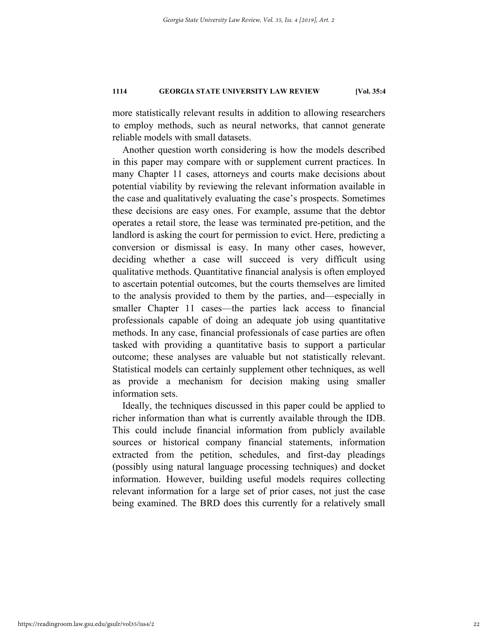more statistically relevant results in addition to allowing researchers to employ methods, such as neural networks, that cannot generate reliable models with small datasets.

Another question worth considering is how the models described in this paper may compare with or supplement current practices. In many Chapter 11 cases, attorneys and courts make decisions about potential viability by reviewing the relevant information available in the case and qualitatively evaluating the case's prospects. Sometimes these decisions are easy ones. For example, assume that the debtor operates a retail store, the lease was terminated pre-petition, and the landlord is asking the court for permission to evict. Here, predicting a conversion or dismissal is easy. In many other cases, however, deciding whether a case will succeed is very difficult using qualitative methods. Quantitative financial analysis is often employed to ascertain potential outcomes, but the courts themselves are limited to the analysis provided to them by the parties, and—especially in smaller Chapter 11 cases—the parties lack access to financial professionals capable of doing an adequate job using quantitative methods. In any case, financial professionals of case parties are often tasked with providing a quantitative basis to support a particular outcome; these analyses are valuable but not statistically relevant. Statistical models can certainly supplement other techniques, as well as provide a mechanism for decision making using smaller information sets.

Ideally, the techniques discussed in this paper could be applied to richer information than what is currently available through the IDB. This could include financial information from publicly available sources or historical company financial statements, information extracted from the petition, schedules, and first-day pleadings (possibly using natural language processing techniques) and docket information. However, building useful models requires collecting relevant information for a large set of prior cases, not just the case being examined. The BRD does this currently for a relatively small